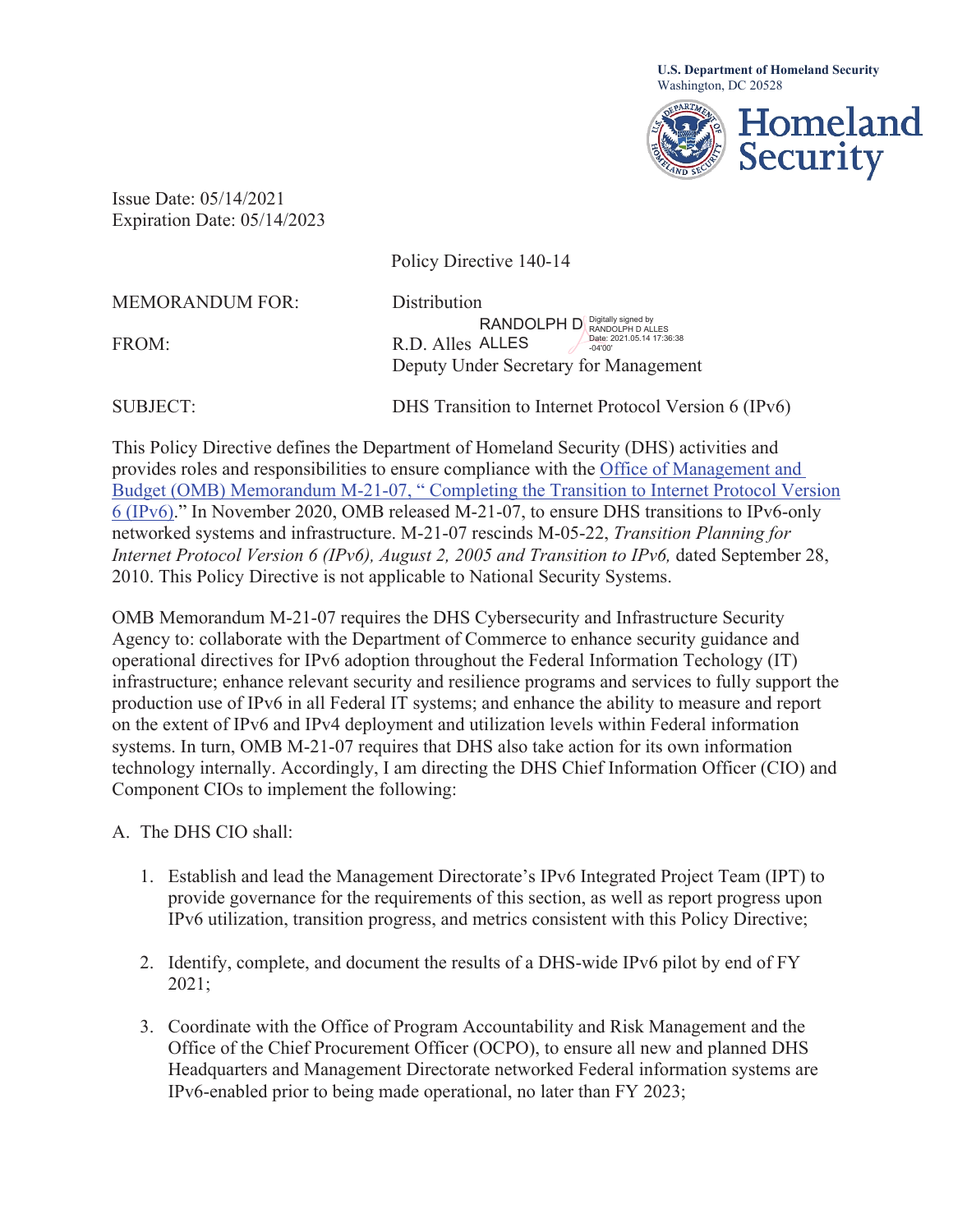**U.S. Department of Homeland Security** Washington, DC 20528



Issue Date: 05/14/2021 Expiration Date: 05/14/2023

|                        | Policy Directive 140-14                                                                      |
|------------------------|----------------------------------------------------------------------------------------------|
| <b>MEMORANDUM FOR:</b> | Distribution                                                                                 |
| FROM:                  | RANDOLPH D Digitally signed by<br>Date: 2021.05.14 17:36:38<br>R.D. Alles ALLES<br>$-04'00'$ |
|                        | Deputy Under Secretary for Management                                                        |
| <b>SUBJECT:</b>        | DHS Transition to Internet Protocol Version 6 (IPv6)                                         |

This Policy Directive defines the Department of Homeland Security (DHS) activities and provides roles and responsibilities to ensure compliance with the Office of Management and Budget (OMB) Memorandum M-21-07, " Completing the Transition to Internet Protocol Version 6 (IPv6)." In November 2020, OMB released M-21-07, to ensure DHS transitions to IPv6-only networked systems and infrastructure. M-21-07 rescinds M-05-22, *Transition Planning for Internet Protocol Version 6 (IPv6), August 2, 2005 and Transition to IPv6, dated September 28,* 2010. This Policy Directive is not applicable to National Security Systems.

OMB Memorandum M-21-07 requires the DHS Cybersecurity and Infrastructure Security Agency to: collaborate with the Department of Commerce to enhance security guidance and operational directives for IPv6 adoption throughout the Federal Information Techology (IT) infrastructure; enhance relevant security and resilience programs and services to fully support the production use of IPv6 in all Federal IT systems; and enhance the ability to measure and report on the extent of IPv6 and IPv4 deployment and utilization levels within Federal information systems. In turn, OMB M-21-07 requires that DHS also take action for its own information technology internally. Accordingly, I am directing the DHS Chief Information Officer (CIO) and Component CIOs to implement the following:

- A. The DHS CIO shall:
	- 1. Establish and lead the Management Directorate's IPv6 Integrated Project Team (IPT) to provide governance for the requirements of this section, as well as report progress upon IPv6 utilization, transition progress, and metrics consistent with this Policy Directive;
	- 2. Identify, complete, and document the results of a DHS-wide IPv6 pilot by end of FY 2021;
	- 3. Coordinate with the Office of Program Accountability and Risk Management and the Office of the Chief Procurement Officer (OCPO), to ensure all new and planned DHS Headquarters and Management Directorate networked Federal information systems are IPv6-enabled prior to being made operational, no later than FY 2023;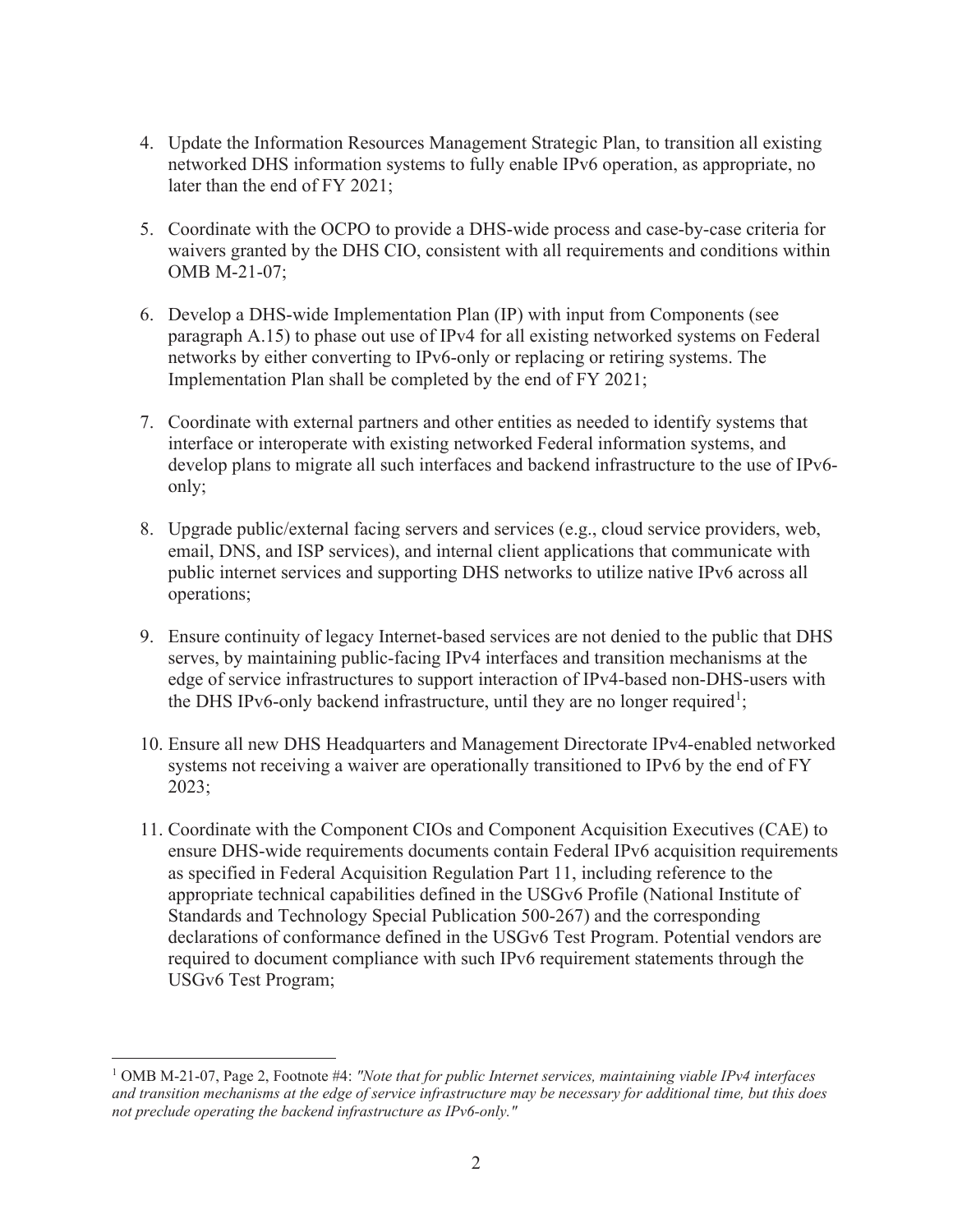- 4. Update the Information Resources Management Strategic Plan, to transition all existing networked DHS information systems to fully enable IPv6 operation, as appropriate, no later than the end of FY 2021;
- 5. Coordinate with the OCPO to provide a DHS-wide process and case-by-case criteria for waivers granted by the DHS CIO, consistent with all requirements and conditions within OMB M-21-07;
- 6. Develop a DHS-wide Implementation Plan (IP) with input from Components (see paragraph A.15) to phase out use of IPv4 for all existing networked systems on Federal networks by either converting to IPv6-only or replacing or retiring systems. The Implementation Plan shall be completed by the end of FY 2021;
- 7. Coordinate with external partners and other entities as needed to identify systems that interface or interoperate with existing networked Federal information systems, and develop plans to migrate all such interfaces and backend infrastructure to the use of IPv6 only;
- 8. Upgrade public/external facing servers and services (e.g., cloud service providers, web, email, DNS, and ISP services), and internal client applications that communicate with public internet services and supporting DHS networks to utilize native IPv6 across all operations;
- 9. Ensure continuity of legacy Internet-based services are not denied to the public that DHS serves, by maintaining public-facing IPv4 interfaces and transition mechanisms at the edge of service infrastructures to support interaction of IPv4-based non-DHS-users with the DHS IPv6-only backend infrastructure, until they are no longer required<sup>1</sup>;
- 10. Ensure all new DHS Headquarters and Management Directorate IPv4-enabled networked systems not receiving a waiver are operationally transitioned to IPv6 by the end of FY 2023;
- 11. Coordinate with the Component CIOs and Component Acquisition Executives (CAE) to ensure DHS-wide requirements documents contain Federal IPv6 acquisition requirements as specified in Federal Acquisition Regulation Part 11, including reference to the appropriate technical capabilities defined in the USGv6 Profile (National Institute of Standards and Technology Special Publication 500-267) and the corresponding declarations of conformance defined in the USGv6 Test Program. Potential vendors are required to document compliance with such IPv6 requirement statements through the USGv6 Test Program;

 1 OMB M-21-07, Page 2, Footnote #4: *"Note that for public Internet services, maintaining viable IPv4 interfaces and transition mechanisms at the edge of service infrastructure may be necessary for additional time, but this does not preclude operating the backend infrastructure as IPv6-only."*